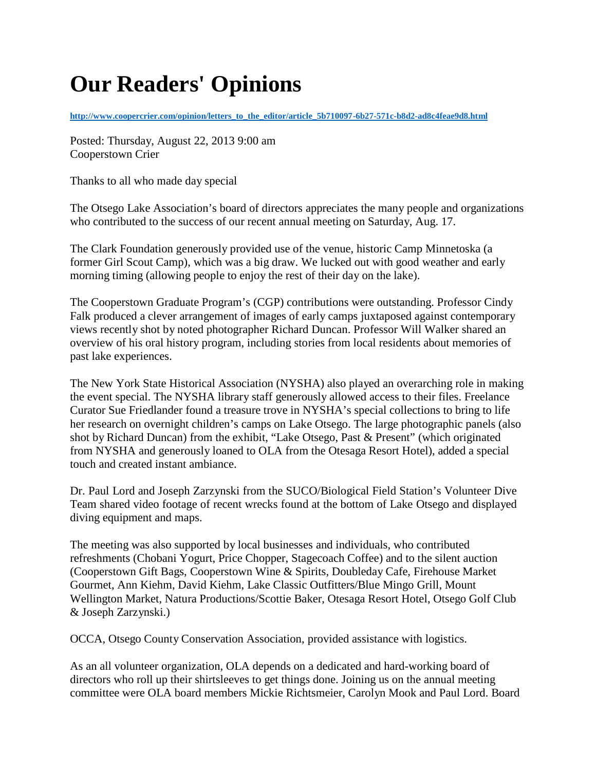## **Our Readers' Opinions**

**[http://www.coopercrier.com/opinion/letters\\_to\\_the\\_editor/article\\_5b710097-6b27-571c-b8d2-ad8c4feae9d8.html](http://www.coopercrier.com/opinion/letters_to_the_editor/article_5b710097-6b27-571c-b8d2-ad8c4feae9d8.html)**

Posted: Thursday, August 22, 2013 9:00 am Cooperstown Crier

Thanks to all who made day special

The Otsego Lake Association's board of directors appreciates the many people and organizations who contributed to the success of our recent annual meeting on Saturday, Aug. 17.

The Clark Foundation generously provided use of the venue, historic Camp Minnetoska (a former Girl Scout Camp), which was a big draw. We lucked out with good weather and early morning timing (allowing people to enjoy the rest of their day on the lake).

The Cooperstown Graduate Program's (CGP) contributions were outstanding. Professor Cindy Falk produced a clever arrangement of images of early camps juxtaposed against contemporary views recently shot by noted photographer Richard Duncan. Professor Will Walker shared an overview of his oral history program, including stories from local residents about memories of past lake experiences.

The New York State Historical Association (NYSHA) also played an overarching role in making the event special. The NYSHA library staff generously allowed access to their files. Freelance Curator Sue Friedlander found a treasure trove in NYSHA's special collections to bring to life her research on overnight children's camps on Lake Otsego. The large photographic panels (also shot by Richard Duncan) from the exhibit, "Lake Otsego, Past & Present" (which originated from NYSHA and generously loaned to OLA from the Otesaga Resort Hotel), added a special touch and created instant ambiance.

Dr. Paul Lord and Joseph Zarzynski from the SUCO/Biological Field Station's Volunteer Dive Team shared video footage of recent wrecks found at the bottom of Lake Otsego and displayed diving equipment and maps.

The meeting was also supported by local businesses and individuals, who contributed refreshments (Chobani Yogurt, Price Chopper, Stagecoach Coffee) and to the silent auction (Cooperstown Gift Bags, Cooperstown Wine & Spirits, Doubleday Cafe, Firehouse Market Gourmet, Ann Kiehm, David Kiehm, Lake Classic Outfitters/Blue Mingo Grill, Mount Wellington Market, Natura Productions/Scottie Baker, Otesaga Resort Hotel, Otsego Golf Club & Joseph Zarzynski.)

OCCA, Otsego County Conservation Association, provided assistance with logistics.

As an all volunteer organization, OLA depends on a dedicated and hard-working board of directors who roll up their shirtsleeves to get things done. Joining us on the annual meeting committee were OLA board members Mickie Richtsmeier, Carolyn Mook and Paul Lord. Board